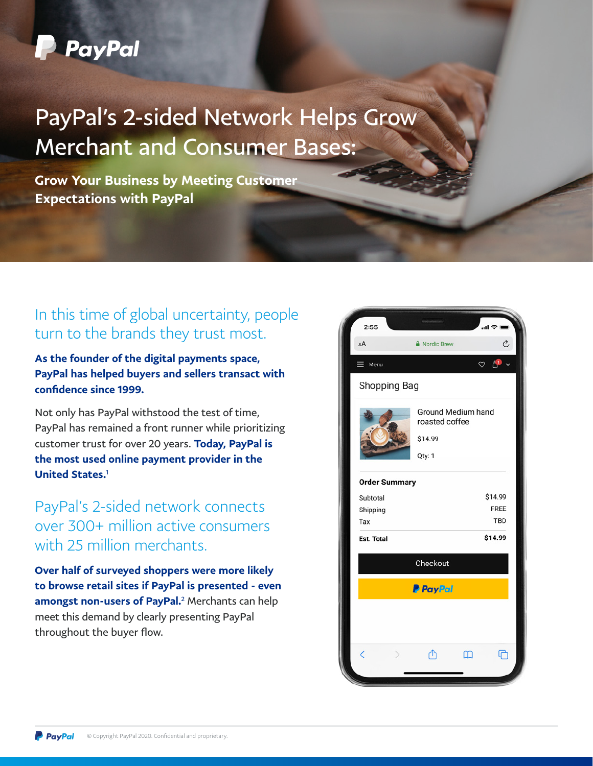

## PayPal's 2-sided Network Helps Grow Merchant and Consumer Bases:

Grow Your Business by Meeting Customer Expectations with PayPal

## In this time of global uncertainty, people turn to the brands they trust most.

As the founder of the digital payments space, PayPal has helped buyers and sellers transact with confidence since 1999.

Not only has PayPal withstood the test of time, PayPal has remained a front runner while prioritizing customer trust for over 20 years. Today, PayPal is the most used online payment provider in the United States.<sup>1</sup>

## PayPal's 2-sided network connects over 300+ million active consumers with 25 million merchants.

Over half of surveyed shoppers were more likely to browse retail sites if PayPal is presented - even amongst non-users of PayPal.<sup>2</sup> Merchants can help meet this demand by clearly presenting PayPal throughout the buyer flow.